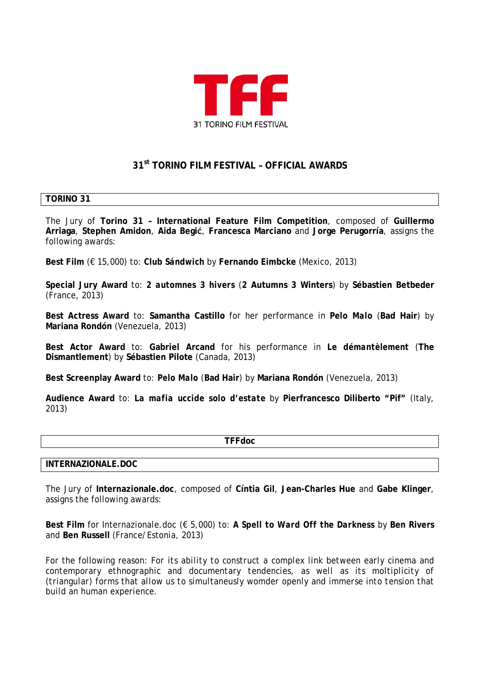

# **31st TORINO FILM FESTIVAL – OFFICIAL AWARDS**

## **TORINO 31**

The Jury of **Torino 31 – International Feature Film Competition**, composed of **Guillermo Arriaga**, **Stephen Amidon**, **Aida Begić**, **Francesca Marciano** and **Jorge Perugorría**, assigns the following awards:

**Best Film** (€ 15,000) to: *Club Sándwich* by **Fernando Eimbcke** (Mexico, 2013)

**Special Jury Award** to: *2 automnes 3 hivers* (**2 Autumns 3 Winters**) by **Sébastien Betbeder** (France, 2013)

**Best Actress Award** to: **Samantha Castillo** for her performance in *Pelo Malo* (**Bad Hair**) by **Mariana Rondón** (Venezuela, 2013)

**Best Actor Award** to: **Gabriel Arcand** for his performance in *Le démantèlement* (**The Dismantlement**) by **Sébastien Pilote** (Canada, 2013)

**Best Screenplay Award** to: *Pelo Malo* (**Bad Hair**) by **Mariana Rondón** (Venezuela, 2013)

**Audience Award** to: *La mafia uccide solo d'estate* by **Pierfrancesco Diliberto "Pif"** (Italy, 2013)

**TFFdoc**

#### **INTERNAZIONALE.DOC**

The Jury of **Internazionale.doc**, composed of **Cíntia Gil**, **Jean-Charles Hue** and **Gabe Klinger**, assigns the following awards:

**Best Film** for Internazionale.doc (€ 5,000) to: *A Spell to Ward Off the Darkness* by **Ben Rivers** and **Ben Russell** (France/Estonia, 2013)

For the following reason: *For its ability to construct a complex link between early cinema and contemporary ethnographic and documentary tendencies, as well as its moltiplicity of (triangular) forms that allow us to simultaneusly womder openly and immerse into tension that build an human experience.*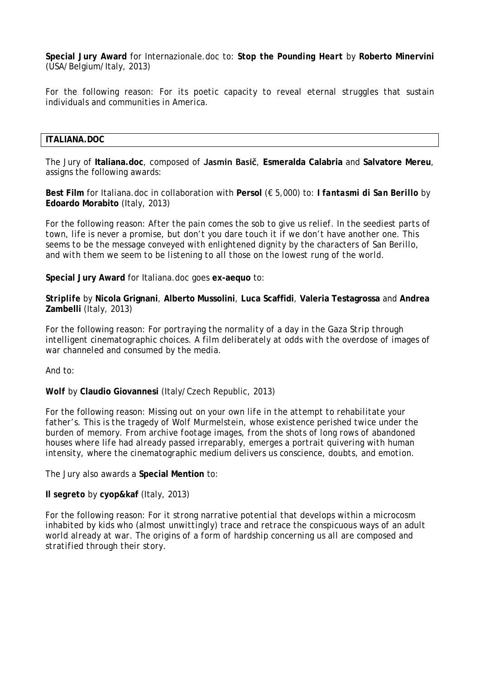**Special Jury Award** for Internazionale.doc to: *Stop the Pounding Heart* by **Roberto Minervini** (USA/Belgium/Italy, 2013)

For the following reason: *For its poetic capacity to reveal eternal struggles that sustain individuals and communities in America.*

### **ITALIANA.DOC**

The Jury of **Italiana.doc**, composed of **Jasmin Basič**, **Esmeralda Calabria** and **Salvatore Mereu**, assigns the following awards:

**Best Film** for Italiana.doc in collaboration with **Persol** (€ 5,000) to: *I fantasmi di San Berillo* by **Edoardo Morabito** (Italy, 2013)

For the following reason: *After the pain comes the sob to give us relief. In the seediest parts of town, life is never a promise, but don't you dare touch it if we don't have another one. This seems to be the message conveyed with enlightened dignity by the characters of San Berillo, and with them we seem to be listening to all those on the lowest rung of the world.*

**Special Jury Award** for Italiana.doc goes **ex-aequo** to:

*Striplife* by **Nicola Grignani**, **Alberto Mussolini**, **Luca Scaffidi**, **Valeria Testagrossa** and **Andrea Zambelli** (Italy, 2013)

For the following reason: *For portraying the normality of a day in the Gaza Strip through*  intelligent cinematographic choices. A film deliberately at odds with the overdose of images of *war channeled and consumed by the media.*

And to:

*Wolf* by **Claudio Giovannesi** (Italy/Czech Republic, 2013)

For the following reason: *Missing out on your own life in the attempt to rehabilitate your father's. This is the tragedy of Wolf Murmelstein, whose existence perished twice under the burden of memory. From archive footage images, from the shots of long rows of abandoned houses where life had already passed irreparably, emerges a portrait quivering with human intensity, where the cinematographic medium delivers us conscience, doubts, and emotion.*

The Jury also awards a **Special Mention** to:

*Il segreto* by **cyop&kaf** (Italy, 2013)

For the following reason: *For it strong narrative potential that develops within a microcosm inhabited by kids who (almost unwittingly) trace and retrace the conspicuous ways of an adult world already at war. The origins of a form of hardship concerning us all are composed and stratified through their story.*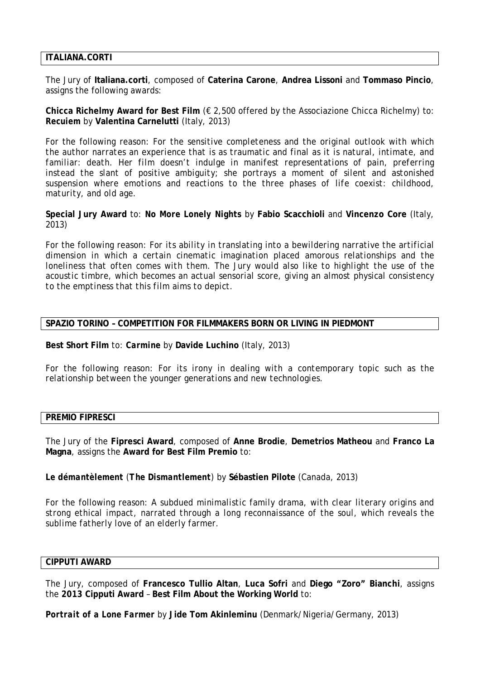## **ITALIANA.CORTI**

The Jury of **Italiana.corti**, composed of **Caterina Carone**, **Andrea Lissoni** and **Tommaso Pincio**, assigns the following awards:

**Chicca Richelmy Award for Best Film** (€ 2,500 offered by the Associazione Chicca Richelmy) to: *Recuiem* by **Valentina Carnelutti** (Italy, 2013)

For the following reason: *For the sensitive completeness and the original outlook with which the author narrates an experience that is as traumatic and final as it is natural, intimate, and familiar: death. Her film doesn't indulge in manifest representations of pain, preferring instead the slant of positive ambiguity; she portrays a moment of silent and astonished suspension where emotions and reactions to the three phases of life coexist: childhood, maturity, and old age.* 

**Special Jury Award** to: *No More Lonely Nights* by **Fabio Scacchioli** and **Vincenzo Core** (Italy, 2013)

For the following reason: *For its ability in translating into a bewildering narrative the artificial dimension in which a certain cinematic imagination placed amorous relationships and the loneliness that often comes with them. The Jury would also like to highlight the use of the acoustic timbre, which becomes an actual sensorial score, giving an almost physical consistency to the emptiness that this film aims to depict.*

## **SPAZIO TORINO – COMPETITION FOR FILMMAKERS BORN OR LIVING IN PIEDMONT**

**Best Short Film** to: *Carmine* by **Davide Luchino** (Italy, 2013)

For the following reason: *For its irony in dealing with a contemporary topic such as the relationship between the younger generations and new technologies.*

#### **PREMIO FIPRESCI**

The Jury of the **Fipresci Award**, composed of **Anne Brodie**, **Demetrios Matheou** and **Franco La Magna**, assigns the **Award for Best Film Premio** to:

*Le démantèlement (The Dismantlement)* by **Sébastien Pilote** (Canada, 2013)

For the following reason: *A subdued minimalistic family drama, with clear literary origins and strong ethical impact, narrated through a long reconnaissance of the soul, which reveals the sublime fatherly love of an elderly farmer.*

## **CIPPUTI AWARD**

The Jury, composed of **Francesco Tullio Altan**, **Luca Sofri** and **Diego "Zoro" Bianchi**, assigns the **2013 Cipputi Award** – **Best Film About the Working World** to:

*Portrait of a Lone Farmer* by **Jide Tom Akinleminu** (Denmark/Nigeria/Germany, 2013)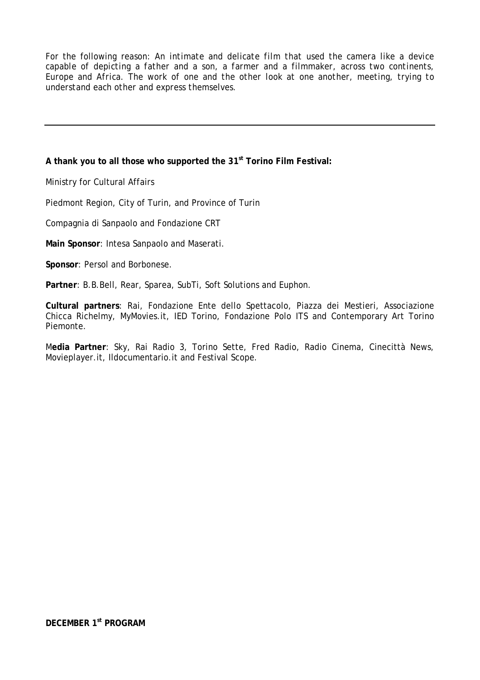For the following reason: *An intimate and delicate film that used the camera like a device capable of depicting a father and a son, a farmer and a filmmaker, across two continents, Europe and Africa. The work of one and the other look at one another, meeting, trying to understand each other and express themselves.*

# **A thank you to all those who supported the 31st Torino Film Festival:**

Ministry for Cultural Affairs

Piedmont Region, City of Turin, and Province of Turin

Compagnia di Sanpaolo and Fondazione CRT

**Main Sponsor**: Intesa Sanpaolo and Maserati.

**Sponsor**: Persol and Borbonese.

**Partner**: B.B.Bell, Rear, Sparea, SubTi, Soft Solutions and Euphon.

**Cultural partners**: Rai, Fondazione Ente dello Spettacolo, Piazza dei Mestieri, Associazione Chicca Richelmy, MyMovies.it, IED Torino, Fondazione Polo ITS and Contemporary Art Torino Piemonte.

M**edia Partner**: Sky, Rai Radio 3, Torino Sette, Fred Radio, Radio Cinema, Cinecittà News, Movieplayer.it, Ildocumentario.it and Festival Scope.